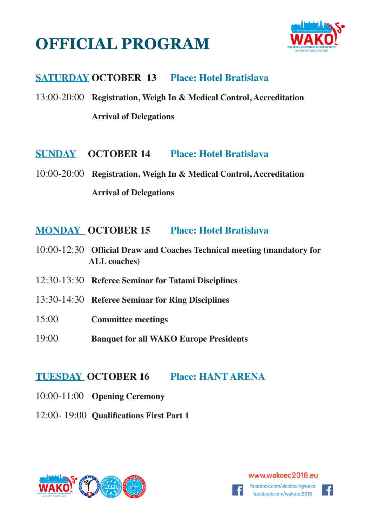# **OFFICIAL PROGRAM**



## **SATURDAY OCTOBER 13 Place: Hotel Bratislava**

13:00-20:00 **Registration, Weigh In & Medical Control, Accreditation Arrival of Delegations** 

**SUNDAY OCTOBER 14 Place: Hotel Bratislava**

10:00-20:00 **Registration, Weigh In & Medical Control, Accreditation Arrival of Delegations** 

#### **MONDAY OCTOBER 15 Place: Hotel Bratislava**

- 10:00-12:30 **Official Draw and Coaches Technical meeting (mandatory for ALL coaches)**
- 12:30-13:30 **Referee Seminar for Tatami Disciplines**
- 13:30-14:30 **Referee Seminar for Ring Disciplines**
- 15:00 **Committee meetings**
- 19:00 **Banquet for all WAKO Europe Presidents**

### **TUESDAY OCTOBER 16 Place: HANT ARENA**

- 10:00-11:00 **Opening Ceremony**
- 12:00- 19:00 **Qualifications First Part 1**



#### www.wakoec2018.eu

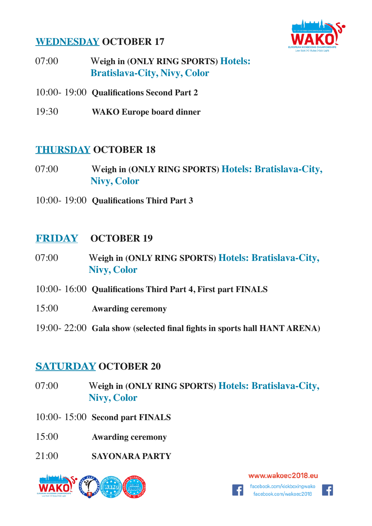### **WEDNESDAY OCTOBER 17**



- 07:00 W**eigh in (ONLY RING SPORTS) Hotels: Bratislava-City, Nivy, Color**
- 10:00- 19:00 **Qualifications Second Part 2**
- 19:30 **WAKO Europe board dinner**

#### **THURSDAY OCTOBER 18**

- 07:00 W**eigh in (ONLY RING SPORTS) Hotels: Bratislava-City, Nivy, Color**
- 10:00- 19:00 **Qualifications Third Part 3**

### **FRIDAY OCTOBER 19**

- 07:00 W**eigh in (ONLY RING SPORTS) Hotels: Bratislava-City, Nivy, Color**
- 10:00- 16:00 **Qualifications Third Part 4, First part FINALS**
- 15:00 **Awarding ceremony**
- 19:00- 22:00 **Gala show (selected final fights in sports hall HANT ARENA)**

#### **SATURDAY OCTOBER 20**

- 07:00 W**eigh in (ONLY RING SPORTS) Hotels: Bratislava-City, Nivy, Color**
- 10:00- 15:00 **Second part FINALS**
- 15:00 **Awarding ceremony**
- 21:00 **SAYONARA PARTY**



www.wakoec2018.eu